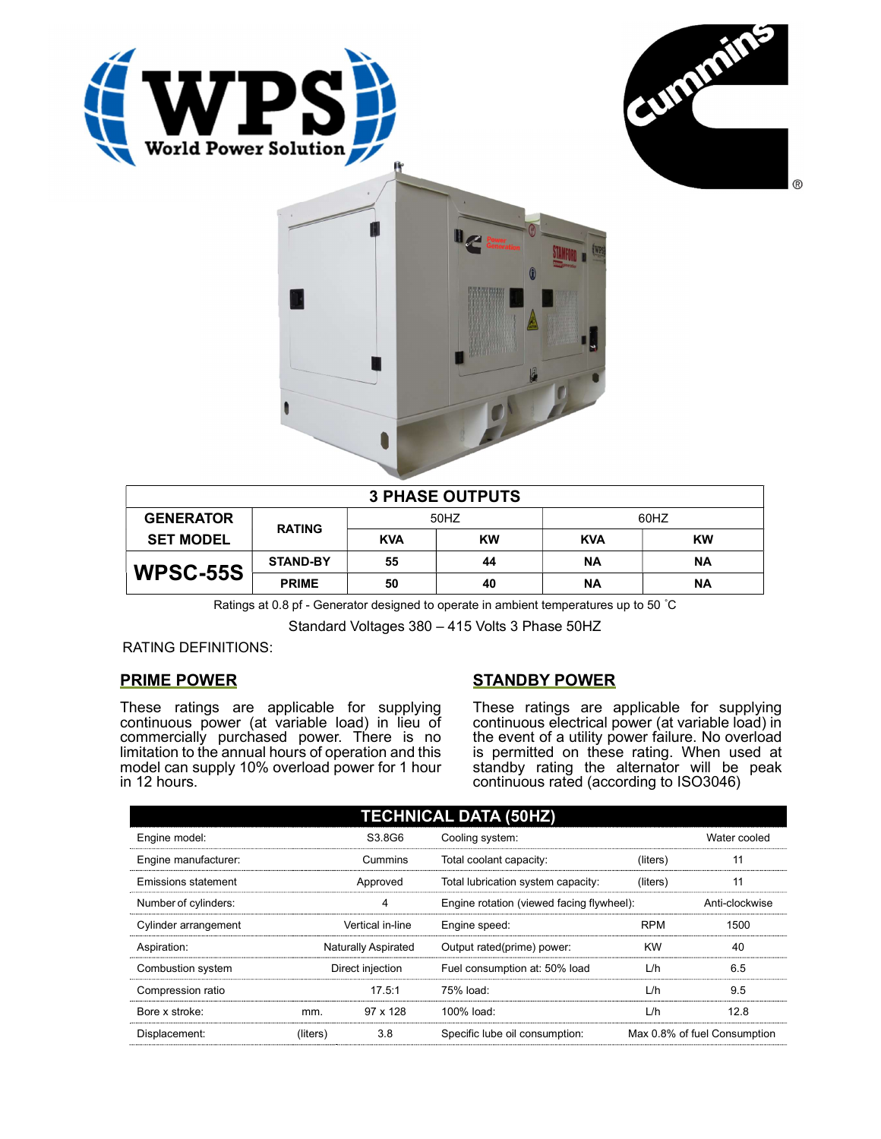





| <b>3 PHASE OUTPUTS</b> |                 |            |           |            |           |  |  |
|------------------------|-----------------|------------|-----------|------------|-----------|--|--|
| <b>GENERATOR</b>       | <b>RATING</b>   | 50HZ       |           | 60HZ       |           |  |  |
| <b>SET MODEL</b>       |                 | <b>KVA</b> | <b>KW</b> | <b>KVA</b> | <b>KW</b> |  |  |
| <b>WPSC-55S</b>        | <b>STAND-BY</b> | 55         | 44        | <b>NA</b>  | ΝA        |  |  |
|                        | <b>PRIME</b>    | 50         | 40        | <b>NA</b>  | ΝA        |  |  |

Ratings at 0.8 pf - Generator designed to operate in ambient temperatures up to 50 °C

Standard Voltages 380 – 415 Volts 3 Phase 50HZ

RATING DEFINITIONS:

## PRIME POWER

These ratings are applicable for supplying continuous power (at variable load) in lieu of commercially purchased power. There is no limitation to the annual hours of operation and this model can supply 10% overload power for 1 hour in 12 hours.

## STANDBY POWER

These ratings are applicable for supplying continuous electrical power (at variable load) in the event of a utility power failure. No overload is permitted on these rating. When used at standby rating the alternator will be peak continuous rated (according to ISO3046)

| <b>TECHNICAL DATA (50HZ)</b> |                     |          |                                           |            |                              |  |  |
|------------------------------|---------------------|----------|-------------------------------------------|------------|------------------------------|--|--|
| Engine model:                |                     | S3.8G6   | Cooling system:                           |            | Water cooled                 |  |  |
| Engine manufacturer:         |                     | Cummins  | Total coolant capacity:                   | (liters)   | 11                           |  |  |
| <b>Emissions statement</b>   | Approved            |          | Total lubrication system capacity:        | (liters)   | 11                           |  |  |
| Number of cylinders:         | 4                   |          | Engine rotation (viewed facing flywheel): |            | Anti-clockwise               |  |  |
| Cylinder arrangement         | Vertical in-line    |          | Engine speed:                             | <b>RPM</b> | 1500                         |  |  |
| Aspiration:                  | Naturally Aspirated |          | Output rated(prime) power:                | <b>KW</b>  | 40                           |  |  |
| Combustion system            | Direct injection    |          | Fuel consumption at: 50% load             | L/h        | 6.5                          |  |  |
| Compression ratio            |                     | 17.5:1   | 75% load:                                 | L/h        | 9.5                          |  |  |
| Bore x stroke:               | mm.                 | 97 x 128 | 100% load:                                | L/h        | 12.8                         |  |  |
| Displacement:                | (liters)            | 3.8      | Specific lube oil consumption:            |            | Max 0.8% of fuel Consumption |  |  |